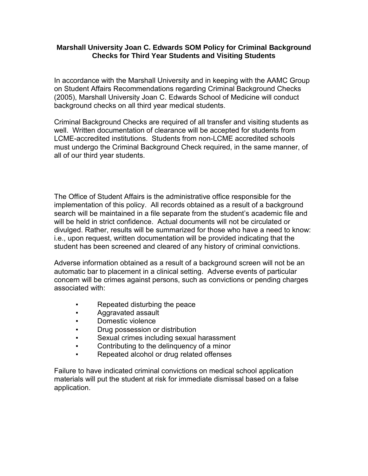## **Marshall University Joan C. Edwards SOM Policy for Criminal Background Checks for Third Year Students and Visiting Students**

In accordance with the Marshall University and in keeping with the AAMC Group on Student Affairs Recommendations regarding Criminal Background Checks (2005), Marshall University Joan C. Edwards School of Medicine will conduct background checks on all third year medical students.

Criminal Background Checks are required of all transfer and visiting students as well. Written documentation of clearance will be accepted for students from LCME-accredited institutions. Students from non-LCME accredited schools must undergo the Criminal Background Check required, in the same manner, of all of our third year students.

The Office of Student Affairs is the administrative office responsible for the implementation of this policy. All records obtained as a result of a background search will be maintained in a file separate from the student's academic file and will be held in strict confidence. Actual documents will not be circulated or divulged. Rather, results will be summarized for those who have a need to know: i.e., upon request, written documentation will be provided indicating that the student has been screened and cleared of any history of criminal convictions.

Adverse information obtained as a result of a background screen will not be an automatic bar to placement in a clinical setting. Adverse events of particular concern will be crimes against persons, such as convictions or pending charges associated with:

- Repeated disturbing the peace
- Aggravated assault
- Domestic violence
- Drug possession or distribution
- Sexual crimes including sexual harassment
- Contributing to the delinquency of a minor
- Repeated alcohol or drug related offenses

Failure to have indicated criminal convictions on medical school application materials will put the student at risk for immediate dismissal based on a false application.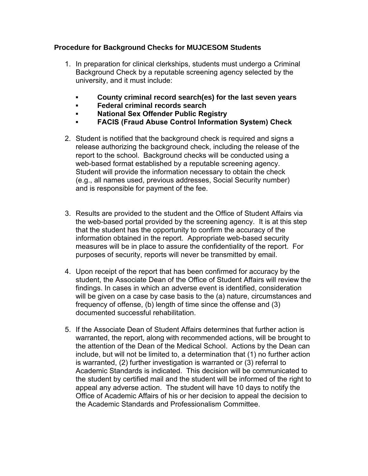## **Procedure for Background Checks for MUJCESOM Students**

- 1. In preparation for clinical clerkships, students must undergo a Criminal Background Check by a reputable screening agency selected by the university, and it must include:
	- **▪ County criminal record search(es) for the last seven years**
	- **▪ Federal criminal records search**
	- **▪ National Sex Offender Public Registry**
	- **▪ FACIS (Fraud Abuse Control Information System) Check**
- 2. Student is notified that the background check is required and signs a release authorizing the background check, including the release of the report to the school. Background checks will be conducted using a web-based format established by a reputable screening agency. Student will provide the information necessary to obtain the check (e.g., all names used, previous addresses, Social Security number) and is responsible for payment of the fee.
- 3. Results are provided to the student and the Office of Student Affairs via the web-based portal provided by the screening agency. It is at this step that the student has the opportunity to confirm the accuracy of the information obtained in the report. Appropriate web-based security measures will be in place to assure the confidentiality of the report. For purposes of security, reports will never be transmitted by email.
- 4. Upon receipt of the report that has been confirmed for accuracy by the student, the Associate Dean of the Office of Student Affairs will review the findings. In cases in which an adverse event is identified, consideration will be given on a case by case basis to the (a) nature, circumstances and frequency of offense, (b) length of time since the offense and (3) documented successful rehabilitation.
- 5. If the Associate Dean of Student Affairs determines that further action is warranted, the report, along with recommended actions, will be brought to the attention of the Dean of the Medical School. Actions by the Dean can include, but will not be limited to, a determination that (1) no further action is warranted, (2) further investigation is warranted or (3) referral to Academic Standards is indicated. This decision will be communicated to the student by certified mail and the student will be informed of the right to appeal any adverse action. The student will have 10 days to notify the Office of Academic Affairs of his or her decision to appeal the decision to the Academic Standards and Professionalism Committee.